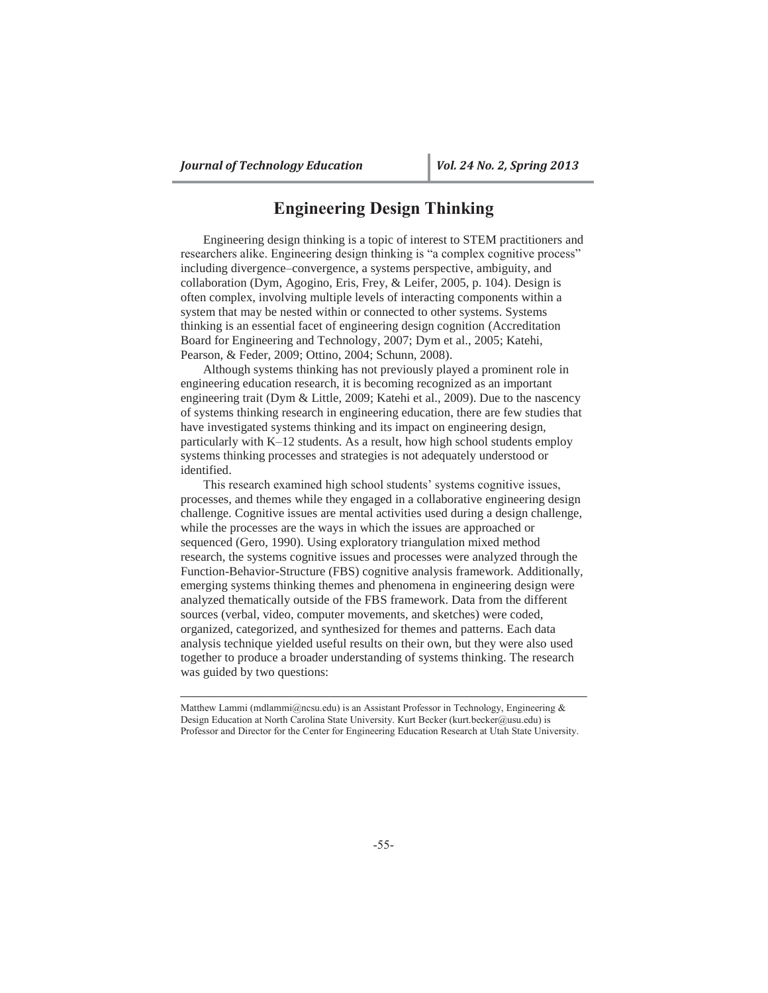# **Engineering Design Thinking**

Engineering design thinking is a topic of interest to STEM practitioners and researchers alike. Engineering design thinking is "a complex cognitive process" including divergence–convergence, a systems perspective, ambiguity, and collaboration (Dym, Agogino, Eris, Frey, & Leifer, 2005, p. 104). Design is often complex, involving multiple levels of interacting components within a system that may be nested within or connected to other systems. Systems thinking is an essential facet of engineering design cognition (Accreditation Board for Engineering and Technology, 2007; Dym et al., 2005; Katehi, Pearson, & Feder, 2009; Ottino, 2004; Schunn, 2008).

Although systems thinking has not previously played a prominent role in engineering education research, it is becoming recognized as an important engineering trait (Dym & Little, 2009; Katehi et al., 2009). Due to the nascency of systems thinking research in engineering education, there are few studies that have investigated systems thinking and its impact on engineering design, particularly with K–12 students. As a result, how high school students employ systems thinking processes and strategies is not adequately understood or identified.

This research examined high school students' systems cognitive issues, processes, and themes while they engaged in a collaborative engineering design challenge. Cognitive issues are mental activities used during a design challenge, while the processes are the ways in which the issues are approached or sequenced (Gero, 1990). Using exploratory triangulation mixed method research, the systems cognitive issues and processes were analyzed through the Function-Behavior-Structure (FBS) cognitive analysis framework. Additionally, emerging systems thinking themes and phenomena in engineering design were analyzed thematically outside of the FBS framework. Data from the different sources (verbal, video, computer movements, and sketches) were coded, organized, categorized, and synthesized for themes and patterns. Each data analysis technique yielded useful results on their own, but they were also used together to produce a broader understanding of systems thinking. The research was guided by two questions:

Matthew Lammi (mdlammi@ncsu.edu) is an Assistant Professor in Technology, Engineering  $\&$ Design Education at North Carolina State University. Kurt Becker (kurt.becker@usu.edu) is Professor and Director for the Center for Engineering Education Research at Utah State University.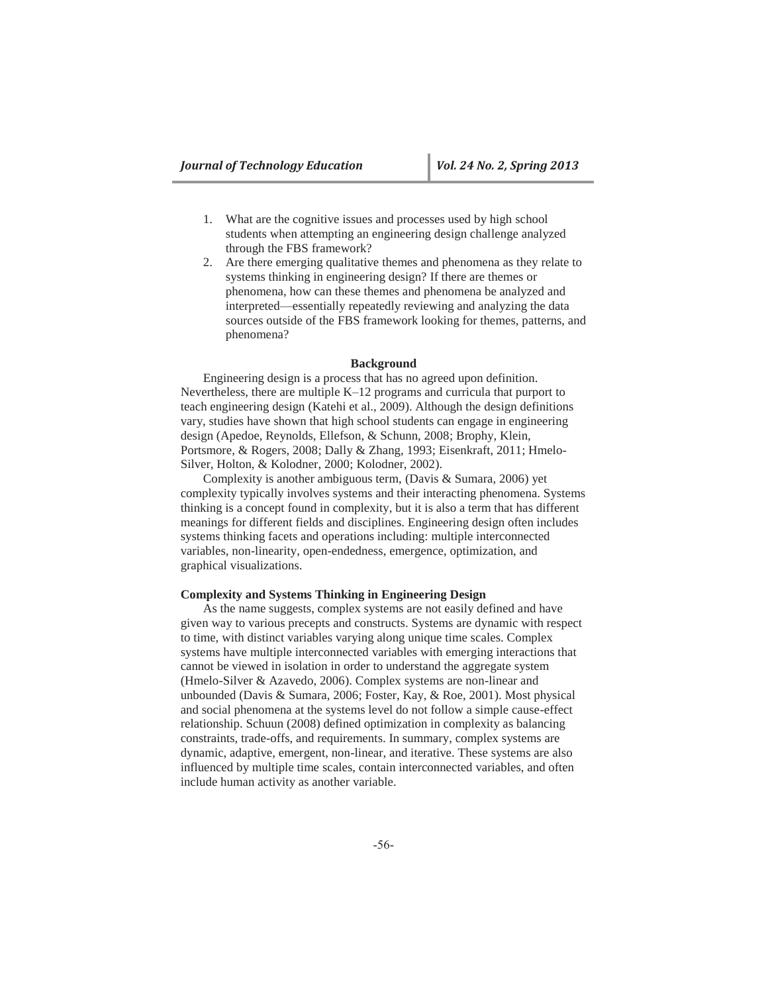- 1. What are the cognitive issues and processes used by high school students when attempting an engineering design challenge analyzed through the FBS framework?
- 2. Are there emerging qualitative themes and phenomena as they relate to systems thinking in engineering design? If there are themes or phenomena, how can these themes and phenomena be analyzed and interpreted—essentially repeatedly reviewing and analyzing the data sources outside of the FBS framework looking for themes, patterns, and phenomena?

### **Background**

Engineering design is a process that has no agreed upon definition. Nevertheless, there are multiple K–12 programs and curricula that purport to teach engineering design (Katehi et al., 2009). Although the design definitions vary, studies have shown that high school students can engage in engineering design (Apedoe, Reynolds, Ellefson, & Schunn, 2008; Brophy, Klein, Portsmore, & Rogers, 2008; Dally & Zhang, 1993; Eisenkraft, 2011; Hmelo-Silver, Holton, & Kolodner, 2000; Kolodner, 2002).

Complexity is another ambiguous term, (Davis & Sumara, 2006) yet complexity typically involves systems and their interacting phenomena. Systems thinking is a concept found in complexity, but it is also a term that has different meanings for different fields and disciplines. Engineering design often includes systems thinking facets and operations including: multiple interconnected variables, non-linearity, open-endedness, emergence, optimization, and graphical visualizations.

#### **Complexity and Systems Thinking in Engineering Design**

As the name suggests, complex systems are not easily defined and have given way to various precepts and constructs. Systems are dynamic with respect to time, with distinct variables varying along unique time scales. Complex systems have multiple interconnected variables with emerging interactions that cannot be viewed in isolation in order to understand the aggregate system (Hmelo-Silver & Azavedo, 2006). Complex systems are non-linear and unbounded (Davis & Sumara, 2006; Foster, Kay, & Roe, 2001). Most physical and social phenomena at the systems level do not follow a simple cause-effect relationship. Schuun (2008) defined optimization in complexity as balancing constraints, trade-offs, and requirements. In summary, complex systems are dynamic, adaptive, emergent, non-linear, and iterative. These systems are also influenced by multiple time scales, contain interconnected variables, and often include human activity as another variable.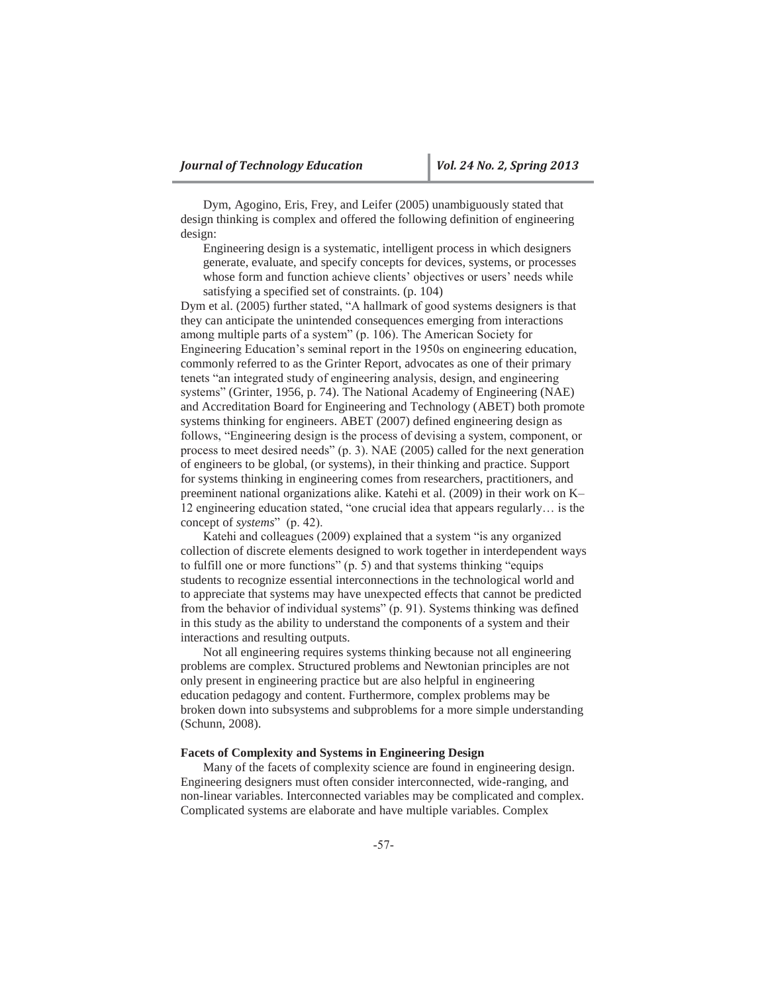Dym, Agogino, Eris, Frey, and Leifer (2005) unambiguously stated that design thinking is complex and offered the following definition of engineering design:

Engineering design is a systematic, intelligent process in which designers generate, evaluate, and specify concepts for devices, systems, or processes whose form and function achieve clients' objectives or users' needs while satisfying a specified set of constraints. (p. 104)

Dym et al. (2005) further stated, "A hallmark of good systems designers is that they can anticipate the unintended consequences emerging from interactions among multiple parts of a system" (p. 106). The American Society for Engineering Education's seminal report in the 1950s on engineering education, commonly referred to as the Grinter Report, advocates as one of their primary tenets "an integrated study of engineering analysis, design, and engineering systems" (Grinter, 1956, p. 74). The National Academy of Engineering (NAE) and Accreditation Board for Engineering and Technology (ABET) both promote systems thinking for engineers. ABET (2007) defined engineering design as follows, "Engineering design is the process of devising a system, component, or process to meet desired needs" (p. 3). NAE (2005) called for the next generation of engineers to be global, (or systems), in their thinking and practice. Support for systems thinking in engineering comes from researchers, practitioners, and preeminent national organizations alike. Katehi et al. (2009) in their work on K– 12 engineering education stated, "one crucial idea that appears regularly… is the concept of *systems*" (p. 42).

Katehi and colleagues (2009) explained that a system "is any organized collection of discrete elements designed to work together in interdependent ways to fulfill one or more functions" (p. 5) and that systems thinking "equips students to recognize essential interconnections in the technological world and to appreciate that systems may have unexpected effects that cannot be predicted from the behavior of individual systems" (p. 91). Systems thinking was defined in this study as the ability to understand the components of a system and their interactions and resulting outputs.

Not all engineering requires systems thinking because not all engineering problems are complex. Structured problems and Newtonian principles are not only present in engineering practice but are also helpful in engineering education pedagogy and content. Furthermore, complex problems may be broken down into subsystems and subproblems for a more simple understanding (Schunn, 2008).

### **Facets of Complexity and Systems in Engineering Design**

Many of the facets of complexity science are found in engineering design. Engineering designers must often consider interconnected, wide-ranging, and non-linear variables. Interconnected variables may be complicated and complex. Complicated systems are elaborate and have multiple variables. Complex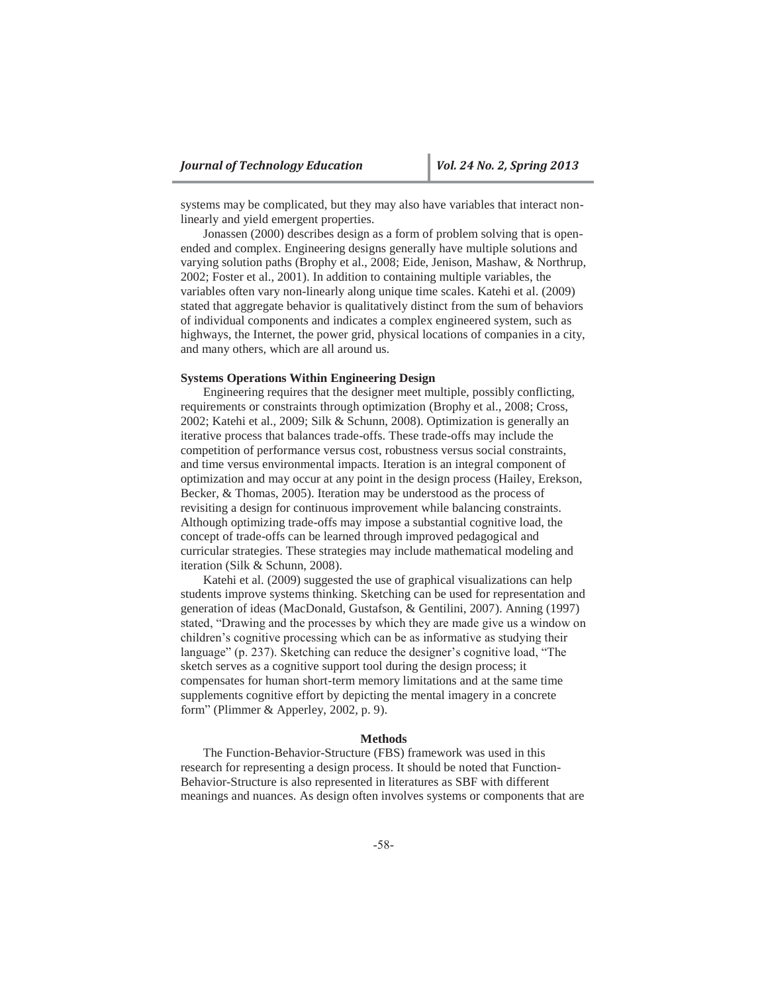systems may be complicated, but they may also have variables that interact nonlinearly and yield emergent properties.

Jonassen (2000) describes design as a form of problem solving that is openended and complex. Engineering designs generally have multiple solutions and varying solution paths (Brophy et al., 2008; Eide, Jenison, Mashaw, & Northrup, 2002; Foster et al., 2001). In addition to containing multiple variables, the variables often vary non-linearly along unique time scales. Katehi et al. (2009) stated that aggregate behavior is qualitatively distinct from the sum of behaviors of individual components and indicates a complex engineered system, such as highways, the Internet, the power grid, physical locations of companies in a city, and many others, which are all around us.

### **Systems Operations Within Engineering Design**

Engineering requires that the designer meet multiple, possibly conflicting, requirements or constraints through optimization (Brophy et al., 2008; Cross, 2002; Katehi et al., 2009; Silk & Schunn, 2008). Optimization is generally an iterative process that balances trade-offs. These trade-offs may include the competition of performance versus cost, robustness versus social constraints, and time versus environmental impacts. Iteration is an integral component of optimization and may occur at any point in the design process (Hailey, Erekson, Becker, & Thomas, 2005). Iteration may be understood as the process of revisiting a design for continuous improvement while balancing constraints. Although optimizing trade-offs may impose a substantial cognitive load, the concept of trade-offs can be learned through improved pedagogical and curricular strategies. These strategies may include mathematical modeling and iteration (Silk & Schunn, 2008).

Katehi et al. (2009) suggested the use of graphical visualizations can help students improve systems thinking. Sketching can be used for representation and generation of ideas (MacDonald, Gustafson, & Gentilini, 2007). Anning (1997) stated, "Drawing and the processes by which they are made give us a window on children's cognitive processing which can be as informative as studying their language" (p. 237). Sketching can reduce the designer's cognitive load, "The sketch serves as a cognitive support tool during the design process; it compensates for human short-term memory limitations and at the same time supplements cognitive effort by depicting the mental imagery in a concrete form" (Plimmer & Apperley, 2002, p. 9).

### **Methods**

The Function-Behavior-Structure (FBS) framework was used in this research for representing a design process. It should be noted that Function-Behavior-Structure is also represented in literatures as SBF with different meanings and nuances. As design often involves systems or components that are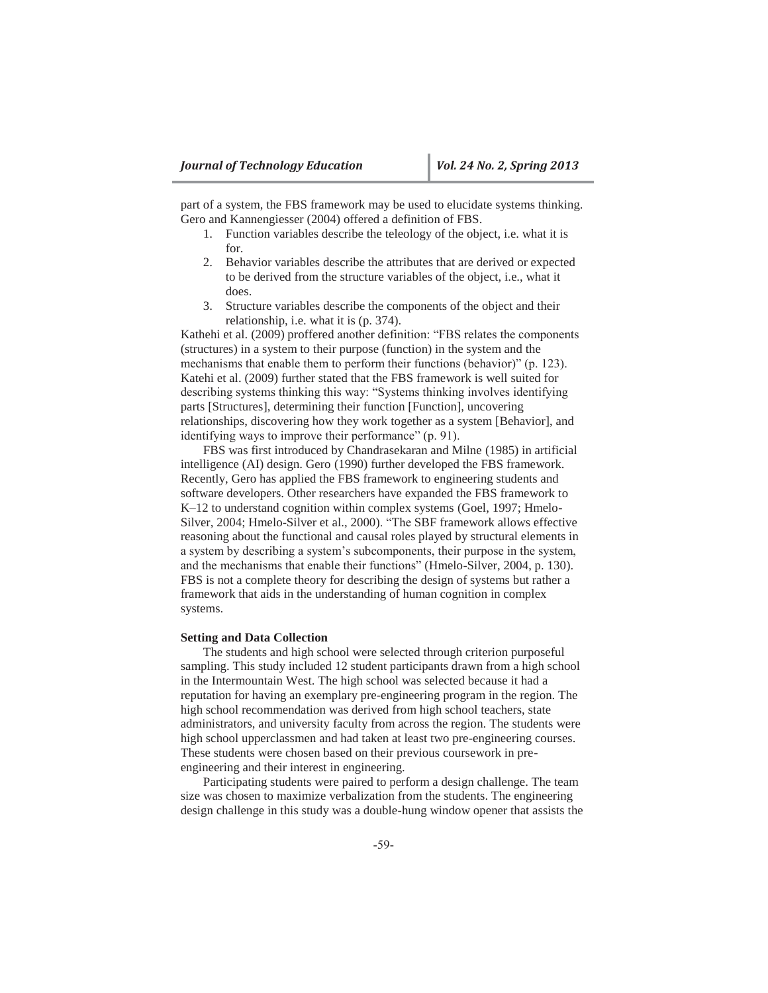part of a system, the FBS framework may be used to elucidate systems thinking. Gero and Kannengiesser (2004) offered a definition of FBS.

- 1. Function variables describe the teleology of the object, i.e. what it is for.
- 2. Behavior variables describe the attributes that are derived or expected to be derived from the structure variables of the object, i.e., what it does.
- 3. Structure variables describe the components of the object and their relationship, i.e. what it is (p. 374).

Kathehi et al. (2009) proffered another definition: "FBS relates the components (structures) in a system to their purpose (function) in the system and the mechanisms that enable them to perform their functions (behavior)" (p. 123). Katehi et al. (2009) further stated that the FBS framework is well suited for describing systems thinking this way: "Systems thinking involves identifying parts [Structures], determining their function [Function], uncovering relationships, discovering how they work together as a system [Behavior], and identifying ways to improve their performance" (p. 91).

FBS was first introduced by Chandrasekaran and Milne (1985) in artificial intelligence (AI) design. Gero (1990) further developed the FBS framework. Recently, Gero has applied the FBS framework to engineering students and software developers. Other researchers have expanded the FBS framework to K–12 to understand cognition within complex systems (Goel, 1997; Hmelo-Silver, 2004; Hmelo-Silver et al., 2000). "The SBF framework allows effective reasoning about the functional and causal roles played by structural elements in a system by describing a system's subcomponents, their purpose in the system, and the mechanisms that enable their functions" (Hmelo-Silver, 2004, p. 130). FBS is not a complete theory for describing the design of systems but rather a framework that aids in the understanding of human cognition in complex systems.

#### **Setting and Data Collection**

The students and high school were selected through criterion purposeful sampling. This study included 12 student participants drawn from a high school in the Intermountain West. The high school was selected because it had a reputation for having an exemplary pre-engineering program in the region. The high school recommendation was derived from high school teachers, state administrators, and university faculty from across the region. The students were high school upperclassmen and had taken at least two pre-engineering courses. These students were chosen based on their previous coursework in preengineering and their interest in engineering.

Participating students were paired to perform a design challenge. The team size was chosen to maximize verbalization from the students. The engineering design challenge in this study was a double-hung window opener that assists the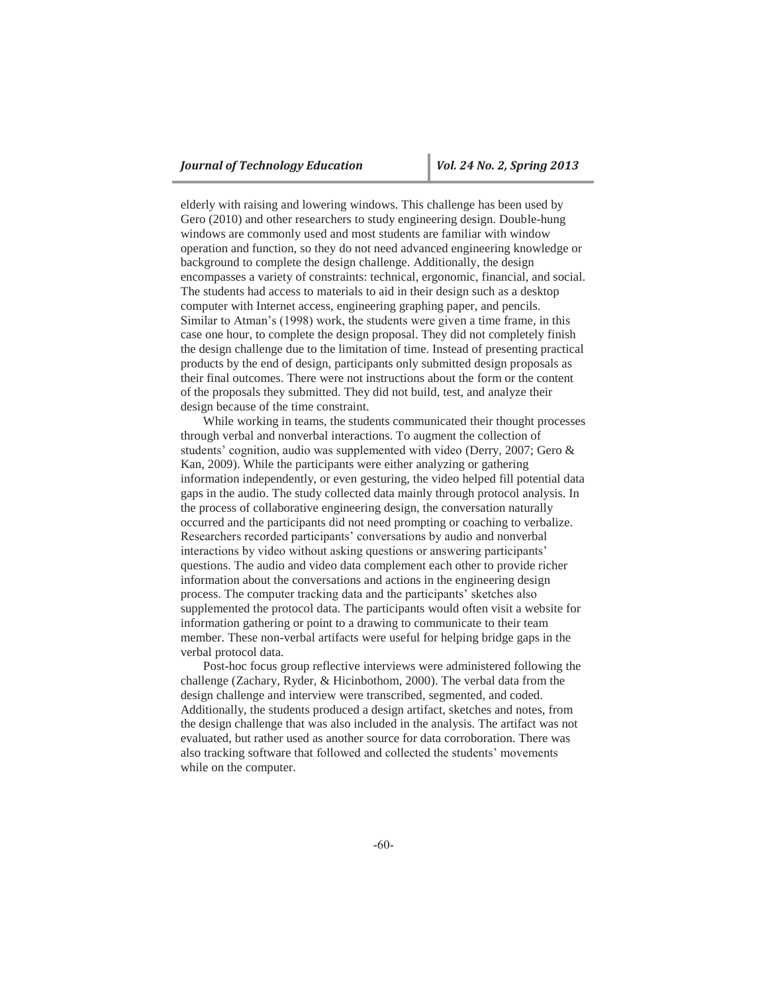elderly with raising and lowering windows. This challenge has been used by Gero (2010) and other researchers to study engineering design. Double-hung windows are commonly used and most students are familiar with window operation and function, so they do not need advanced engineering knowledge or background to complete the design challenge. Additionally, the design encompasses a variety of constraints: technical, ergonomic, financial, and social. The students had access to materials to aid in their design such as a desktop computer with Internet access, engineering graphing paper, and pencils. Similar to Atman's (1998) work, the students were given a time frame, in this case one hour, to complete the design proposal. They did not completely finish the design challenge due to the limitation of time. Instead of presenting practical products by the end of design, participants only submitted design proposals as their final outcomes. There were not instructions about the form or the content of the proposals they submitted. They did not build, test, and analyze their design because of the time constraint.

While working in teams, the students communicated their thought processes through verbal and nonverbal interactions. To augment the collection of students' cognition, audio was supplemented with video (Derry, 2007; Gero & Kan, 2009). While the participants were either analyzing or gathering information independently, or even gesturing, the video helped fill potential data gaps in the audio. The study collected data mainly through protocol analysis. In the process of collaborative engineering design, the conversation naturally occurred and the participants did not need prompting or coaching to verbalize. Researchers recorded participants' conversations by audio and nonverbal interactions by video without asking questions or answering participants' questions. The audio and video data complement each other to provide richer information about the conversations and actions in the engineering design process. The computer tracking data and the participants' sketches also supplemented the protocol data. The participants would often visit a website for information gathering or point to a drawing to communicate to their team member. These non-verbal artifacts were useful for helping bridge gaps in the verbal protocol data.

Post-hoc focus group reflective interviews were administered following the challenge (Zachary, Ryder, & Hicinbothom, 2000). The verbal data from the design challenge and interview were transcribed, segmented, and coded. Additionally, the students produced a design artifact, sketches and notes, from the design challenge that was also included in the analysis. The artifact was not evaluated, but rather used as another source for data corroboration. There was also tracking software that followed and collected the students' movements while on the computer.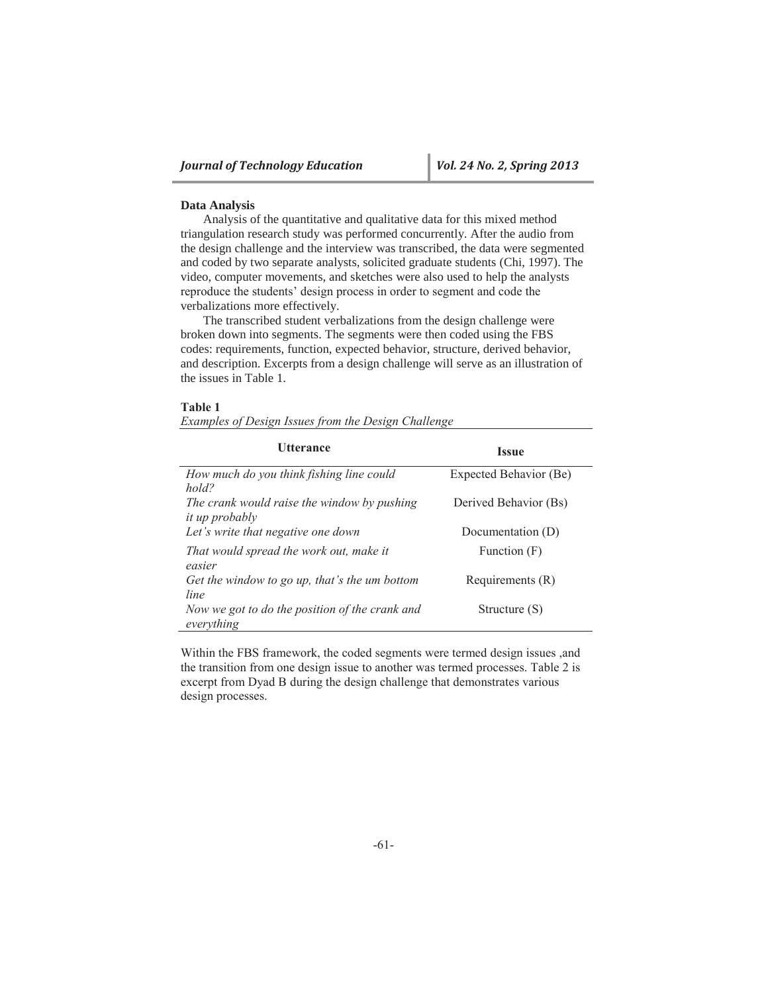### **Data Analysis**

Analysis of the quantitative and qualitative data for this mixed method triangulation research study was performed concurrently. After the audio from the design challenge and the interview was transcribed, the data were segmented and coded by two separate analysts, solicited graduate students (Chi, 1997). The video, computer movements, and sketches were also used to help the analysts reproduce the students' design process in order to segment and code the verbalizations more effectively.

The transcribed student verbalizations from the design challenge were broken down into segments. The segments were then coded using the FBS codes: requirements, function, expected behavior, structure, derived behavior, and description. Excerpts from a design challenge will serve as an illustration of the issues in Table 1.

#### **Table 1**

*Examples of Design Issues from the Design Challenge* 

| <b>Utterance</b>                                                     | <b>Issue</b>           |
|----------------------------------------------------------------------|------------------------|
| How much do you think fishing line could<br>hold?                    | Expected Behavior (Be) |
| The crank would raise the window by pushing<br><i>it up probably</i> | Derived Behavior (Bs)  |
| Let's write that negative one down                                   | Documentation (D)      |
| That would spread the work out, make it<br>easier                    | Function (F)           |
| Get the window to go up, that's the um bottom<br>line                | Requirements $(R)$     |
| Now we got to do the position of the crank and<br>everything         | Structure (S)          |

Within the FBS framework, the coded segments were termed design issues ,and the transition from one design issue to another was termed processes. Table 2 is excerpt from Dyad B during the design challenge that demonstrates various design processes.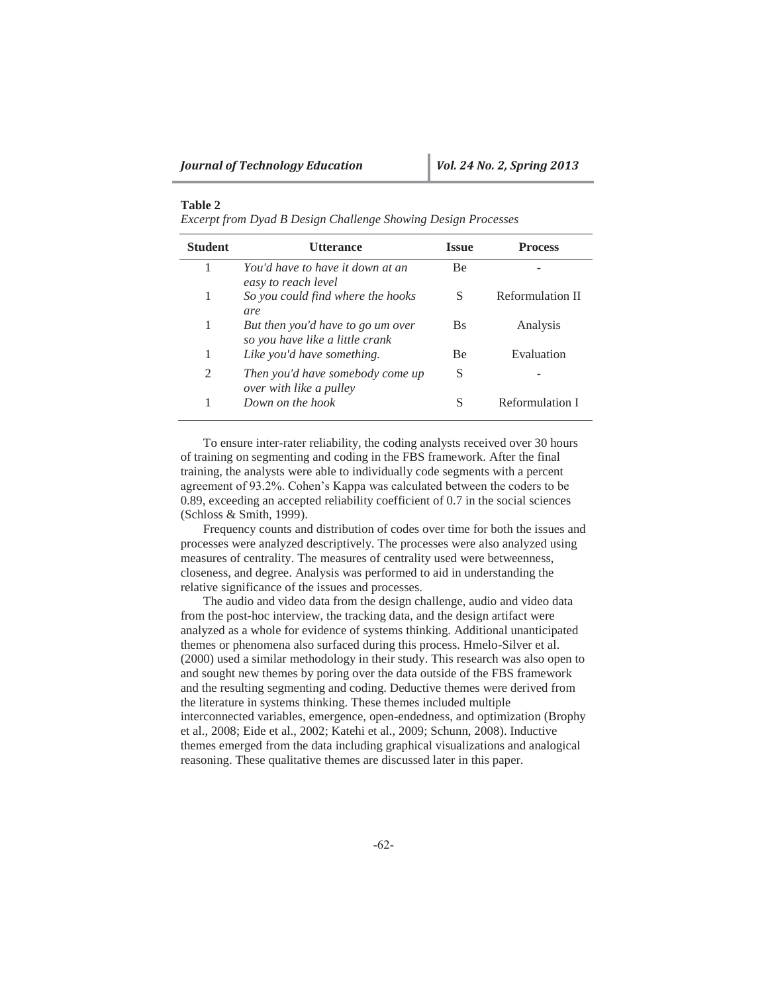## **Table 2**

*Excerpt from Dyad B Design Challenge Showing Design Processes*

| <b>Student</b> | Utterance                                                            | <b>Issue</b> | <b>Process</b>   |
|----------------|----------------------------------------------------------------------|--------------|------------------|
|                | You'd have to have it down at an<br>easy to reach level              | <b>Be</b>    |                  |
| 1              | So you could find where the hooks<br>are                             | S            | Reformulation II |
| 1              | But then you'd have to go um over<br>so you have like a little crank | <b>Bs</b>    | Analysis         |
| 1              | Like you'd have something.                                           | Be           | Evaluation       |
| 2              | Then you'd have somebody come up<br>over with like a pulley          | S            |                  |
| 1              | Down on the hook                                                     | S            | Reformulation I  |

To ensure inter-rater reliability, the coding analysts received over 30 hours of training on segmenting and coding in the FBS framework. After the final training, the analysts were able to individually code segments with a percent agreement of 93.2%. Cohen's Kappa was calculated between the coders to be 0.89, exceeding an accepted reliability coefficient of 0.7 in the social sciences (Schloss & Smith, 1999).

Frequency counts and distribution of codes over time for both the issues and processes were analyzed descriptively. The processes were also analyzed using measures of centrality. The measures of centrality used were betweenness, closeness, and degree. Analysis was performed to aid in understanding the relative significance of the issues and processes.

The audio and video data from the design challenge, audio and video data from the post-hoc interview, the tracking data, and the design artifact were analyzed as a whole for evidence of systems thinking. Additional unanticipated themes or phenomena also surfaced during this process. Hmelo-Silver et al. (2000) used a similar methodology in their study. This research was also open to and sought new themes by poring over the data outside of the FBS framework and the resulting segmenting and coding. Deductive themes were derived from the literature in systems thinking. These themes included multiple interconnected variables, emergence, open-endedness, and optimization (Brophy et al., 2008; Eide et al., 2002; Katehi et al., 2009; Schunn, 2008). Inductive themes emerged from the data including graphical visualizations and analogical reasoning. These qualitative themes are discussed later in this paper.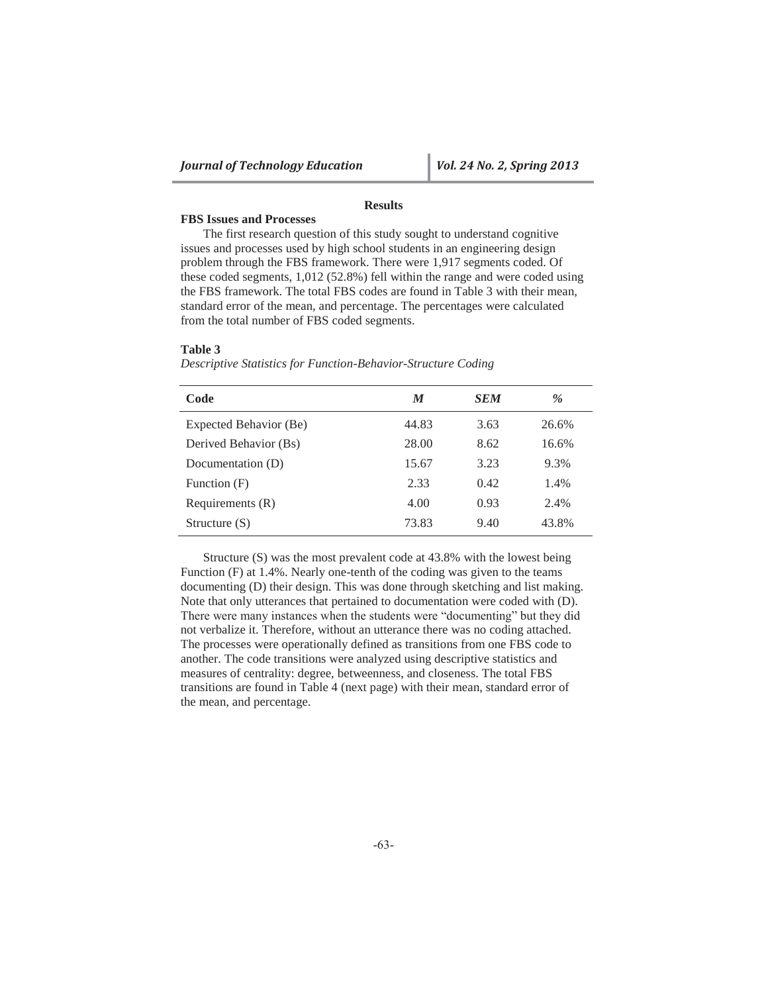## **Results**

## **FBS Issues and Processes**

The first research question of this study sought to understand cognitive issues and processes used by high school students in an engineering design problem through the FBS framework. There were 1,917 segments coded. Of these coded segments, 1,012 (52.8%) fell within the range and were coded using the FBS framework. The total FBS codes are found in Table 3 with their mean, standard error of the mean, and percentage. The percentages were calculated from the total number of FBS coded segments.

#### **Table 3**

| Descriptive Statistics for Function-Behavior-Structure Coding |  |  |  |  |
|---------------------------------------------------------------|--|--|--|--|
|                                                               |  |  |  |  |

| Code                   | M     | <b>SEM</b> | %     |
|------------------------|-------|------------|-------|
| Expected Behavior (Be) | 44.83 | 3.63       | 26.6% |
| Derived Behavior (Bs)  | 28.00 | 8.62       | 16.6% |
| Documentation (D)      | 15.67 | 3.23       | 9.3%  |
| Function (F)           | 2.33  | 0.42       | 1.4%  |
| Requirements $(R)$     | 4.00  | 0.93       | 2.4%  |
| Structure $(S)$        | 73.83 | 9.40       | 43.8% |

Structure (S) was the most prevalent code at 43.8% with the lowest being Function (F) at 1.4%. Nearly one-tenth of the coding was given to the teams documenting (D) their design. This was done through sketching and list making. Note that only utterances that pertained to documentation were coded with (D). There were many instances when the students were "documenting" but they did not verbalize it. Therefore, without an utterance there was no coding attached. The processes were operationally defined as transitions from one FBS code to another. The code transitions were analyzed using descriptive statistics and measures of centrality: degree, betweenness, and closeness. The total FBS transitions are found in Table 4 (next page) with their mean, standard error of the mean, and percentage.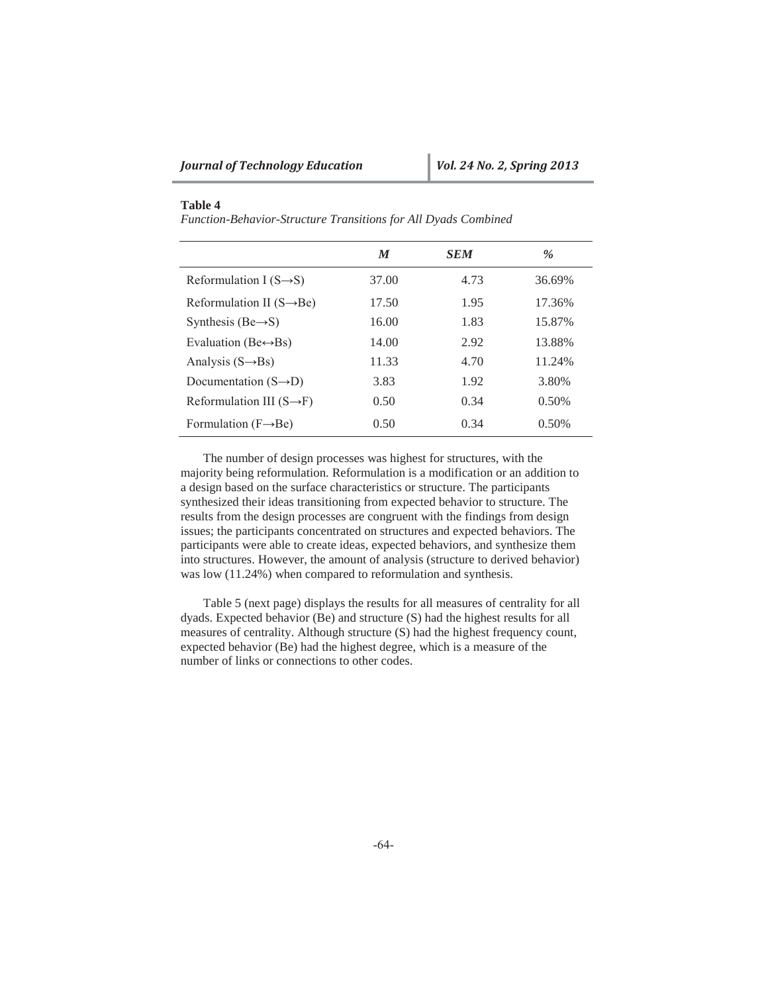## **Table 4**

*Function-Behavior-Structure Transitions for All Dyads Combined* 

|                                       | M     | <b>SEM</b> | $\%$   |
|---------------------------------------|-------|------------|--------|
| Reformulation I $(S \rightarrow S)$   | 37.00 | 4.73       | 36.69% |
| Reformulation II $(S \rightarrow Be)$ | 17.50 | 1.95       | 17.36% |
| Synthesis (Be $\rightarrow$ S)        | 16.00 | 1.83       | 15.87% |
| Evaluation (Be $\leftrightarrow$ Bs)  | 14.00 | 2.92       | 13.88% |
| Analysis $(S \rightarrow Bs)$         | 11.33 | 4.70       | 11.24% |
| Documentation $(S \rightarrow D)$     | 3.83  | 1.92       | 3.80%  |
| Reformulation III $(S \rightarrow F)$ | 0.50  | 0.34       | 0.50%  |
| Formulation $(F \rightarrow Be)$      | 0.50  | 0.34       | 0.50%  |

The number of design processes was highest for structures, with the majority being reformulation. Reformulation is a modification or an addition to a design based on the surface characteristics or structure. The participants synthesized their ideas transitioning from expected behavior to structure. The results from the design processes are congruent with the findings from design issues; the participants concentrated on structures and expected behaviors. The participants were able to create ideas, expected behaviors, and synthesize them into structures. However, the amount of analysis (structure to derived behavior) was low (11.24%) when compared to reformulation and synthesis.

Table 5 (next page) displays the results for all measures of centrality for all dyads. Expected behavior (Be) and structure (S) had the highest results for all measures of centrality. Although structure (S) had the highest frequency count, expected behavior (Be) had the highest degree, which is a measure of the number of links or connections to other codes.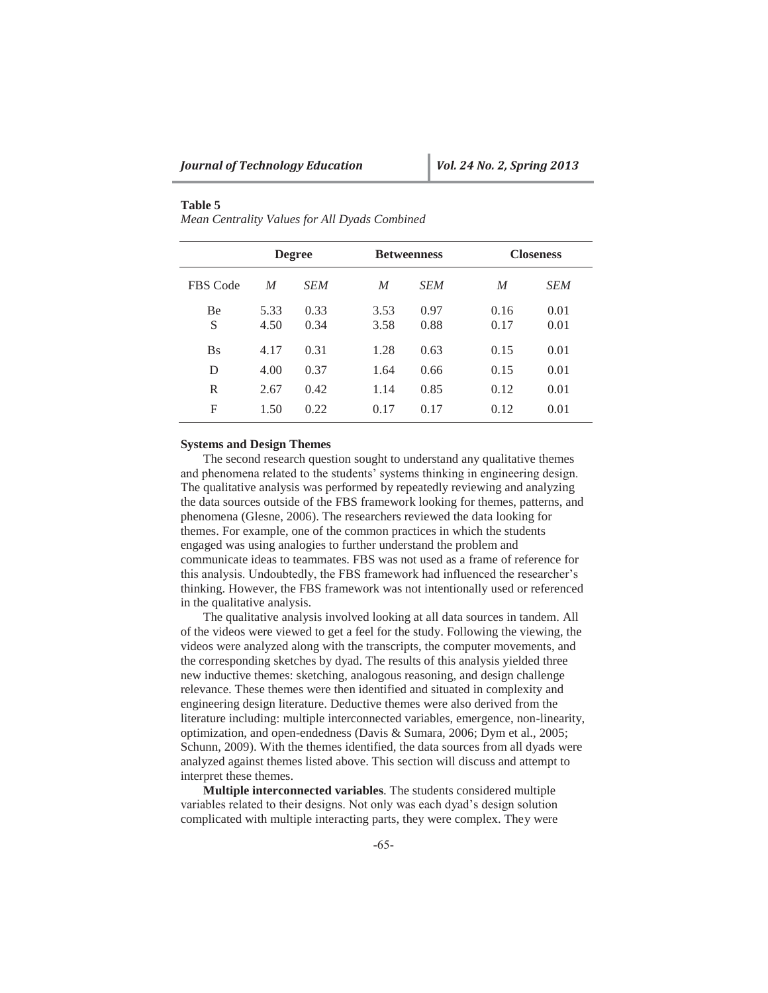## **Table 5**

*Mean Centrality Values for All Dyads Combined* 

|                 | <b>Degree</b>    |              | <b>Betweenness</b> |              |              | <b>Closeness</b> |  |
|-----------------|------------------|--------------|--------------------|--------------|--------------|------------------|--|
| <b>FBS</b> Code | $\boldsymbol{M}$ | <b>SEM</b>   | $\boldsymbol{M}$   | <b>SEM</b>   | M            | <b>SEM</b>       |  |
| <b>Be</b><br>S  | 5.33<br>4.50     | 0.33<br>0.34 | 3.53<br>3.58       | 0.97<br>0.88 | 0.16<br>0.17 | 0.01<br>0.01     |  |
| <b>Bs</b>       | 4.17             | 0.31         | 1.28               | 0.63         | 0.15         | 0.01             |  |
| D               | 4.00             | 0.37         | 1.64               | 0.66         | 0.15         | 0.01             |  |
| R               | 2.67             | 0.42         | 1.14               | 0.85         | 0.12         | 0.01             |  |
| F               | 1.50             | 0.22         | 0.17               | 0.17         | 0.12         | 0.01             |  |

### **Systems and Design Themes**

The second research question sought to understand any qualitative themes and phenomena related to the students' systems thinking in engineering design. The qualitative analysis was performed by repeatedly reviewing and analyzing the data sources outside of the FBS framework looking for themes, patterns, and phenomena (Glesne, 2006). The researchers reviewed the data looking for themes. For example, one of the common practices in which the students engaged was using analogies to further understand the problem and communicate ideas to teammates. FBS was not used as a frame of reference for this analysis. Undoubtedly, the FBS framework had influenced the researcher's thinking. However, the FBS framework was not intentionally used or referenced in the qualitative analysis.

The qualitative analysis involved looking at all data sources in tandem. All of the videos were viewed to get a feel for the study. Following the viewing, the videos were analyzed along with the transcripts, the computer movements, and the corresponding sketches by dyad. The results of this analysis yielded three new inductive themes: sketching, analogous reasoning, and design challenge relevance. These themes were then identified and situated in complexity and engineering design literature. Deductive themes were also derived from the literature including: multiple interconnected variables, emergence, non-linearity, optimization, and open-endedness (Davis & Sumara, 2006; Dym et al., 2005; Schunn, 2009). With the themes identified, the data sources from all dyads were analyzed against themes listed above. This section will discuss and attempt to interpret these themes.

**Multiple interconnected variables**. The students considered multiple variables related to their designs. Not only was each dyad's design solution complicated with multiple interacting parts, they were complex. They were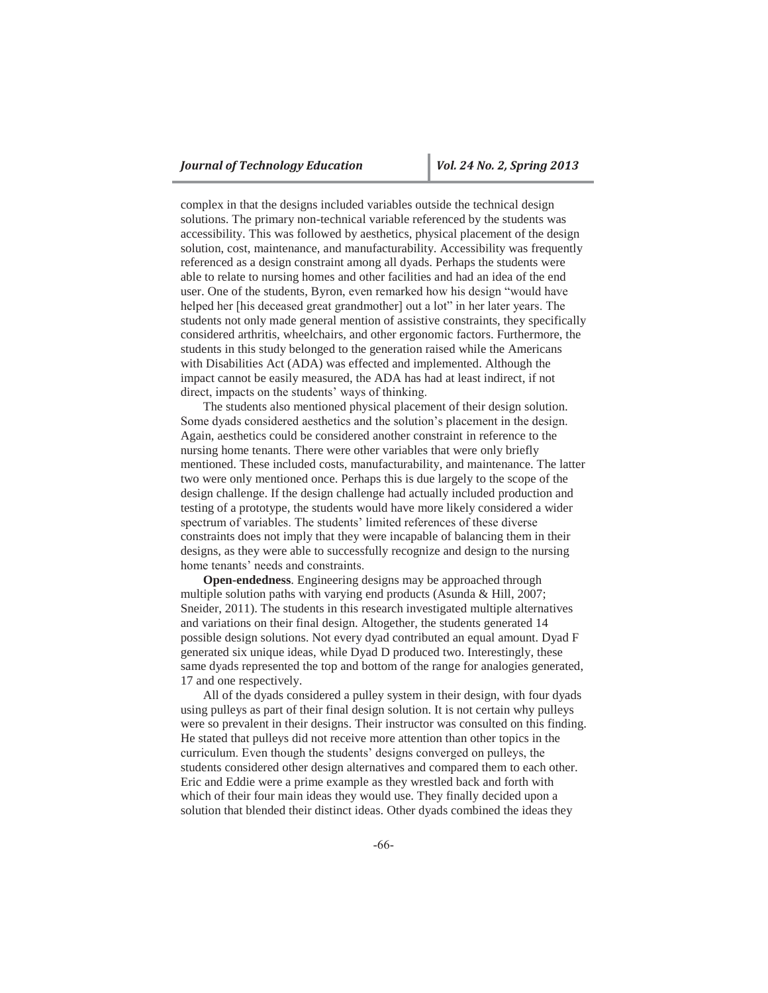complex in that the designs included variables outside the technical design solutions. The primary non-technical variable referenced by the students was accessibility. This was followed by aesthetics, physical placement of the design solution, cost, maintenance, and manufacturability. Accessibility was frequently referenced as a design constraint among all dyads. Perhaps the students were able to relate to nursing homes and other facilities and had an idea of the end user. One of the students, Byron, even remarked how his design "would have helped her [his deceased great grandmother] out a lot" in her later years. The students not only made general mention of assistive constraints, they specifically considered arthritis, wheelchairs, and other ergonomic factors. Furthermore, the students in this study belonged to the generation raised while the Americans with Disabilities Act (ADA) was effected and implemented. Although the impact cannot be easily measured, the ADA has had at least indirect, if not direct, impacts on the students' ways of thinking.

The students also mentioned physical placement of their design solution. Some dyads considered aesthetics and the solution's placement in the design. Again, aesthetics could be considered another constraint in reference to the nursing home tenants. There were other variables that were only briefly mentioned. These included costs, manufacturability, and maintenance. The latter two were only mentioned once. Perhaps this is due largely to the scope of the design challenge. If the design challenge had actually included production and testing of a prototype, the students would have more likely considered a wider spectrum of variables. The students' limited references of these diverse constraints does not imply that they were incapable of balancing them in their designs, as they were able to successfully recognize and design to the nursing home tenants' needs and constraints.

**Open-endedness**. Engineering designs may be approached through multiple solution paths with varying end products (Asunda & Hill, 2007; Sneider, 2011). The students in this research investigated multiple alternatives and variations on their final design. Altogether, the students generated 14 possible design solutions. Not every dyad contributed an equal amount. Dyad F generated six unique ideas, while Dyad D produced two. Interestingly, these same dyads represented the top and bottom of the range for analogies generated, 17 and one respectively.

All of the dyads considered a pulley system in their design, with four dyads using pulleys as part of their final design solution. It is not certain why pulleys were so prevalent in their designs. Their instructor was consulted on this finding. He stated that pulleys did not receive more attention than other topics in the curriculum. Even though the students' designs converged on pulleys, the students considered other design alternatives and compared them to each other. Eric and Eddie were a prime example as they wrestled back and forth with which of their four main ideas they would use. They finally decided upon a solution that blended their distinct ideas. Other dyads combined the ideas they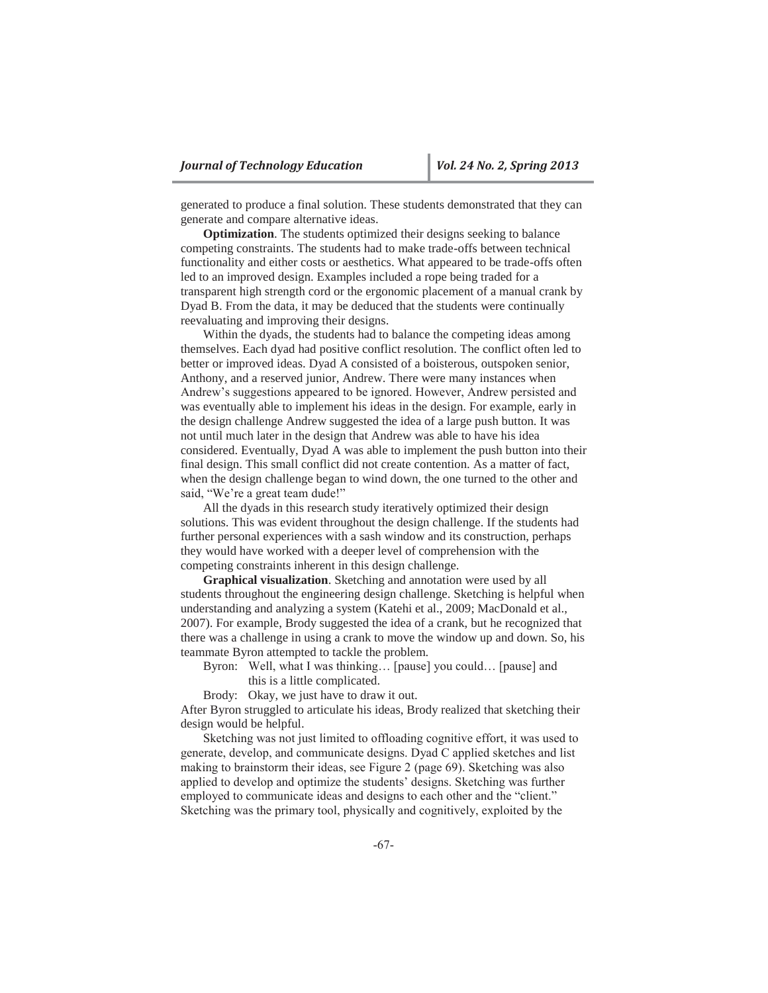generated to produce a final solution. These students demonstrated that they can generate and compare alternative ideas.

**Optimization**. The students optimized their designs seeking to balance competing constraints. The students had to make trade-offs between technical functionality and either costs or aesthetics. What appeared to be trade-offs often led to an improved design. Examples included a rope being traded for a transparent high strength cord or the ergonomic placement of a manual crank by Dyad B. From the data, it may be deduced that the students were continually reevaluating and improving their designs.

Within the dyads, the students had to balance the competing ideas among themselves. Each dyad had positive conflict resolution. The conflict often led to better or improved ideas. Dyad A consisted of a boisterous, outspoken senior, Anthony, and a reserved junior, Andrew. There were many instances when Andrew's suggestions appeared to be ignored. However, Andrew persisted and was eventually able to implement his ideas in the design. For example, early in the design challenge Andrew suggested the idea of a large push button. It was not until much later in the design that Andrew was able to have his idea considered. Eventually, Dyad A was able to implement the push button into their final design. This small conflict did not create contention. As a matter of fact, when the design challenge began to wind down, the one turned to the other and said, "We're a great team dude!"

All the dyads in this research study iteratively optimized their design solutions. This was evident throughout the design challenge. If the students had further personal experiences with a sash window and its construction, perhaps they would have worked with a deeper level of comprehension with the competing constraints inherent in this design challenge.

**Graphical visualization**. Sketching and annotation were used by all students throughout the engineering design challenge. Sketching is helpful when understanding and analyzing a system (Katehi et al., 2009; MacDonald et al., 2007). For example, Brody suggested the idea of a crank, but he recognized that there was a challenge in using a crank to move the window up and down. So, his teammate Byron attempted to tackle the problem.

Byron: Well, what I was thinking… [pause] you could… [pause] and this is a little complicated.

Brody: Okay, we just have to draw it out.

After Byron struggled to articulate his ideas, Brody realized that sketching their design would be helpful.

Sketching was not just limited to offloading cognitive effort, it was used to generate, develop, and communicate designs. Dyad C applied sketches and list making to brainstorm their ideas, see Figure 2 (page 69). Sketching was also applied to develop and optimize the students' designs. Sketching was further employed to communicate ideas and designs to each other and the "client." Sketching was the primary tool, physically and cognitively, exploited by the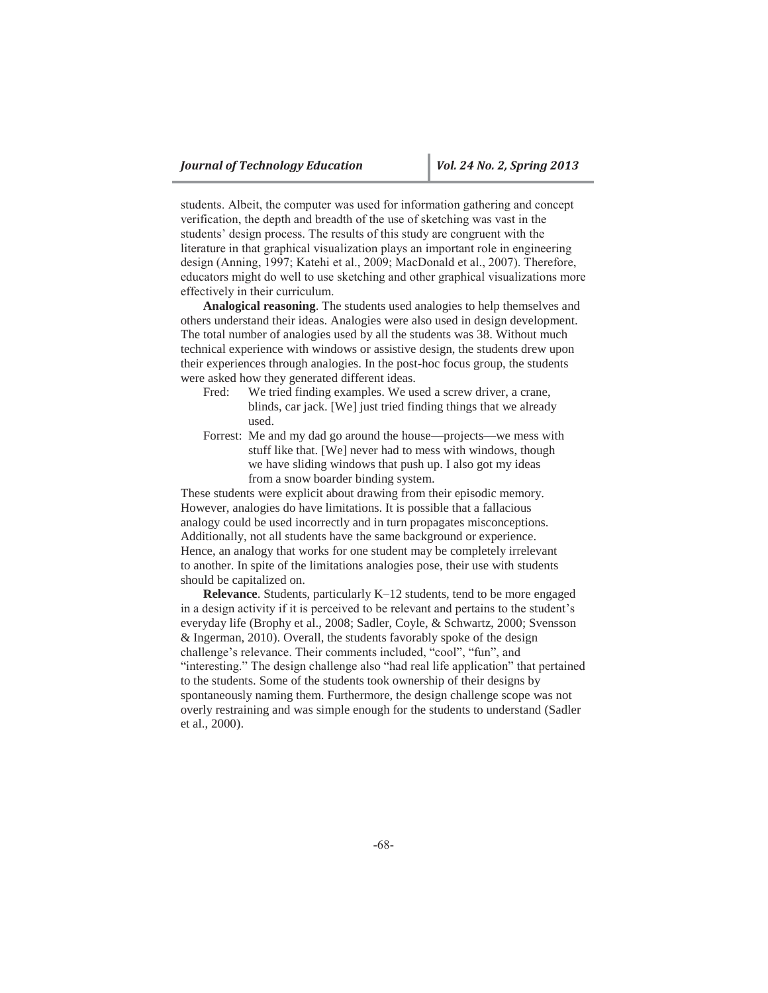students. Albeit, the computer was used for information gathering and concept verification, the depth and breadth of the use of sketching was vast in the students' design process. The results of this study are congruent with the literature in that graphical visualization plays an important role in engineering design (Anning, 1997; Katehi et al., 2009; MacDonald et al., 2007). Therefore, educators might do well to use sketching and other graphical visualizations more effectively in their curriculum.

**Analogical reasoning**. The students used analogies to help themselves and others understand their ideas. Analogies were also used in design development. The total number of analogies used by all the students was 38. Without much technical experience with windows or assistive design, the students drew upon their experiences through analogies. In the post-hoc focus group, the students were asked how they generated different ideas.

- Fred: We tried finding examples. We used a screw driver, a crane, blinds, car jack. [We] just tried finding things that we already used.
- Forrest: Me and my dad go around the house—projects—we mess with stuff like that. [We] never had to mess with windows, though we have sliding windows that push up. I also got my ideas from a snow boarder binding system.

These students were explicit about drawing from their episodic memory. However, analogies do have limitations. It is possible that a fallacious analogy could be used incorrectly and in turn propagates misconceptions. Additionally, not all students have the same background or experience. Hence, an analogy that works for one student may be completely irrelevant to another. In spite of the limitations analogies pose, their use with students should be capitalized on.

**Relevance**. Students, particularly K–12 students, tend to be more engaged in a design activity if it is perceived to be relevant and pertains to the student's everyday life (Brophy et al., 2008; Sadler, Coyle, & Schwartz, 2000; Svensson & Ingerman, 2010). Overall, the students favorably spoke of the design challenge's relevance. Their comments included, "cool", "fun", and "interesting." The design challenge also "had real life application" that pertained to the students. Some of the students took ownership of their designs by spontaneously naming them. Furthermore, the design challenge scope was not overly restraining and was simple enough for the students to understand (Sadler et al., 2000).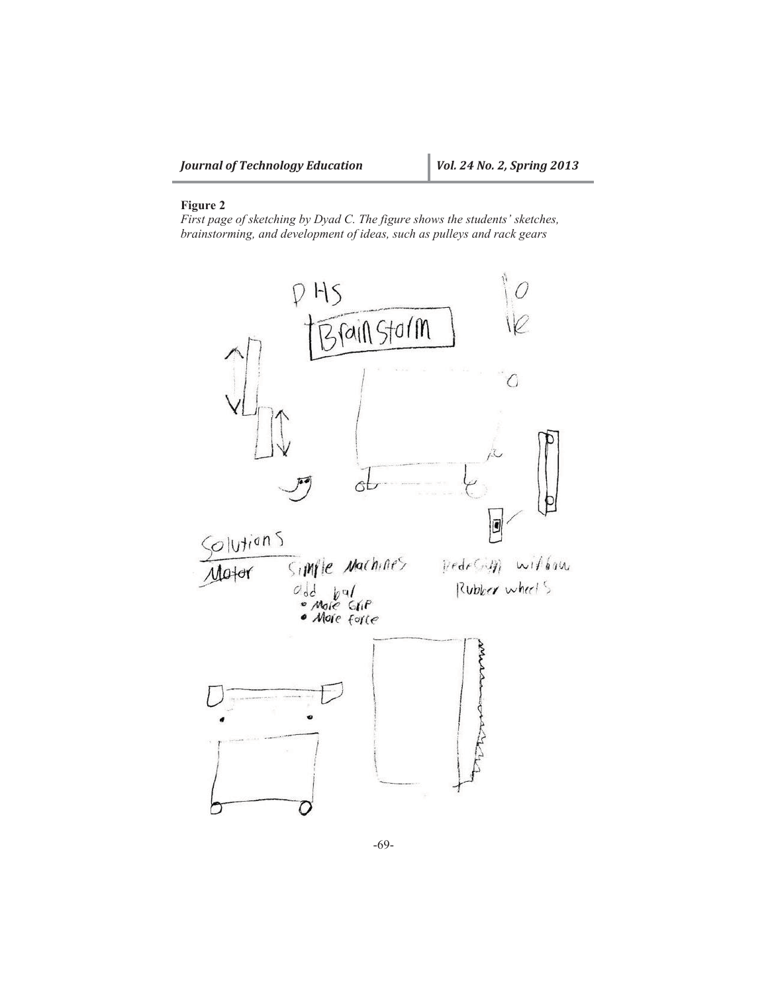## **Figure 2**

*First page of sketching by Dyad C. The figure shows the students' sketches, brainstorming, and development of ideas, such as pulleys and rack gears* 



-69-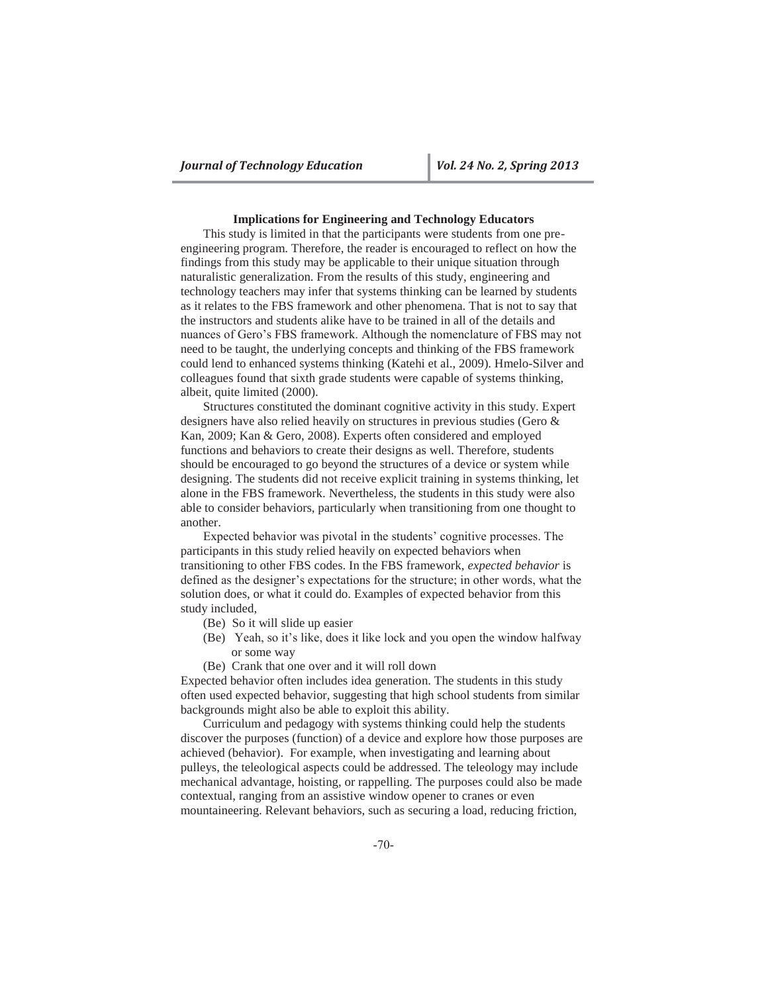### **Implications for Engineering and Technology Educators**

This study is limited in that the participants were students from one preengineering program. Therefore, the reader is encouraged to reflect on how the findings from this study may be applicable to their unique situation through naturalistic generalization. From the results of this study, engineering and technology teachers may infer that systems thinking can be learned by students as it relates to the FBS framework and other phenomena. That is not to say that the instructors and students alike have to be trained in all of the details and nuances of Gero's FBS framework. Although the nomenclature of FBS may not need to be taught, the underlying concepts and thinking of the FBS framework could lend to enhanced systems thinking (Katehi et al., 2009). Hmelo-Silver and colleagues found that sixth grade students were capable of systems thinking, albeit, quite limited (2000).

Structures constituted the dominant cognitive activity in this study. Expert designers have also relied heavily on structures in previous studies (Gero & Kan, 2009; Kan & Gero, 2008). Experts often considered and employed functions and behaviors to create their designs as well. Therefore, students should be encouraged to go beyond the structures of a device or system while designing. The students did not receive explicit training in systems thinking, let alone in the FBS framework. Nevertheless, the students in this study were also able to consider behaviors, particularly when transitioning from one thought to another.

Expected behavior was pivotal in the students' cognitive processes. The participants in this study relied heavily on expected behaviors when transitioning to other FBS codes. In the FBS framework, *expected behavior* is defined as the designer's expectations for the structure; in other words, what the solution does, or what it could do. Examples of expected behavior from this study included,

- (Be) So it will slide up easier
- (Be) Yeah, so it's like, does it like lock and you open the window halfway or some way
- (Be) Crank that one over and it will roll down

Expected behavior often includes idea generation. The students in this study often used expected behavior, suggesting that high school students from similar backgrounds might also be able to exploit this ability.

Curriculum and pedagogy with systems thinking could help the students discover the purposes (function) of a device and explore how those purposes are achieved (behavior). For example, when investigating and learning about pulleys, the teleological aspects could be addressed. The teleology may include mechanical advantage, hoisting, or rappelling. The purposes could also be made contextual, ranging from an assistive window opener to cranes or even mountaineering. Relevant behaviors, such as securing a load, reducing friction,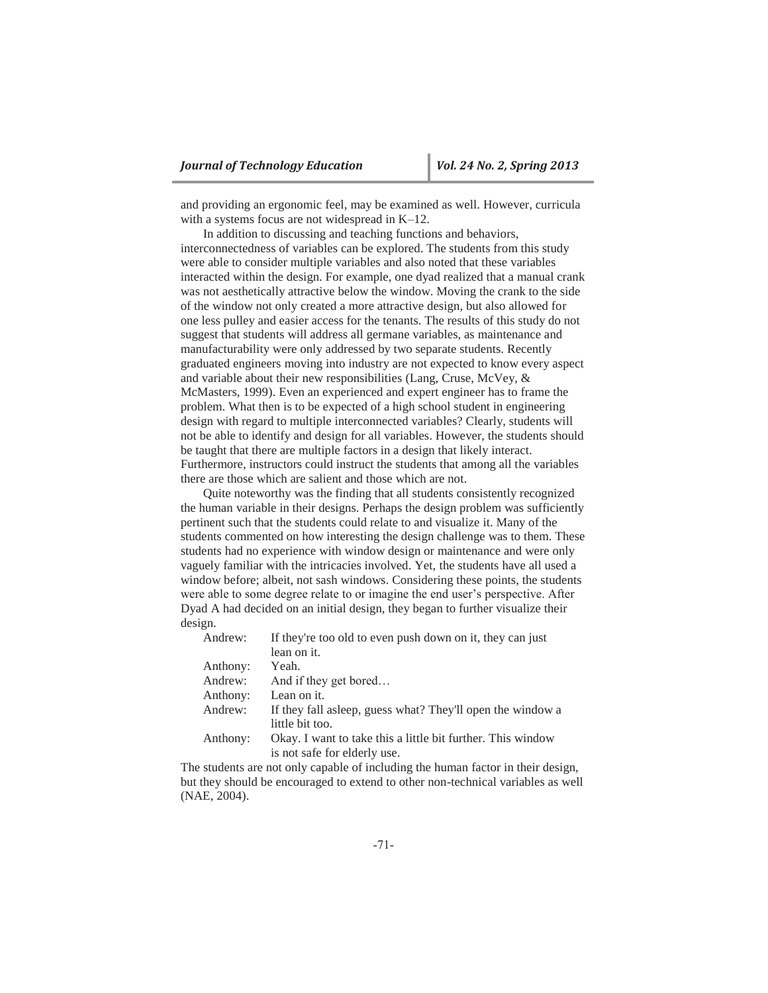and providing an ergonomic feel, may be examined as well. However, curricula with a systems focus are not widespread in K–12.

In addition to discussing and teaching functions and behaviors, interconnectedness of variables can be explored. The students from this study were able to consider multiple variables and also noted that these variables interacted within the design. For example, one dyad realized that a manual crank was not aesthetically attractive below the window. Moving the crank to the side of the window not only created a more attractive design, but also allowed for one less pulley and easier access for the tenants. The results of this study do not suggest that students will address all germane variables, as maintenance and manufacturability were only addressed by two separate students. Recently graduated engineers moving into industry are not expected to know every aspect and variable about their new responsibilities (Lang, Cruse, McVey, & McMasters, 1999). Even an experienced and expert engineer has to frame the problem. What then is to be expected of a high school student in engineering design with regard to multiple interconnected variables? Clearly, students will not be able to identify and design for all variables. However, the students should be taught that there are multiple factors in a design that likely interact. Furthermore, instructors could instruct the students that among all the variables there are those which are salient and those which are not.

Quite noteworthy was the finding that all students consistently recognized the human variable in their designs. Perhaps the design problem was sufficiently pertinent such that the students could relate to and visualize it. Many of the students commented on how interesting the design challenge was to them. These students had no experience with window design or maintenance and were only vaguely familiar with the intricacies involved. Yet, the students have all used a window before; albeit, not sash windows. Considering these points, the students were able to some degree relate to or imagine the end user's perspective. After Dyad A had decided on an initial design, they began to further visualize their design.

| Andrew:  | If they're too old to even push down on it, they can just   |
|----------|-------------------------------------------------------------|
|          | lean on it.                                                 |
| Anthony: | Yeah.                                                       |
| Andrew:  | And if they get bored                                       |
| Anthony: | Lean on it.                                                 |
| Andrew:  | If they fall asleep, guess what? They'll open the window a  |
|          | little bit too.                                             |
| Anthony: | Okay. I want to take this a little bit further. This window |
|          | is not safe for elderly use.                                |
|          |                                                             |

The students are not only capable of including the human factor in their design, but they should be encouraged to extend to other non-technical variables as well (NAE, 2004).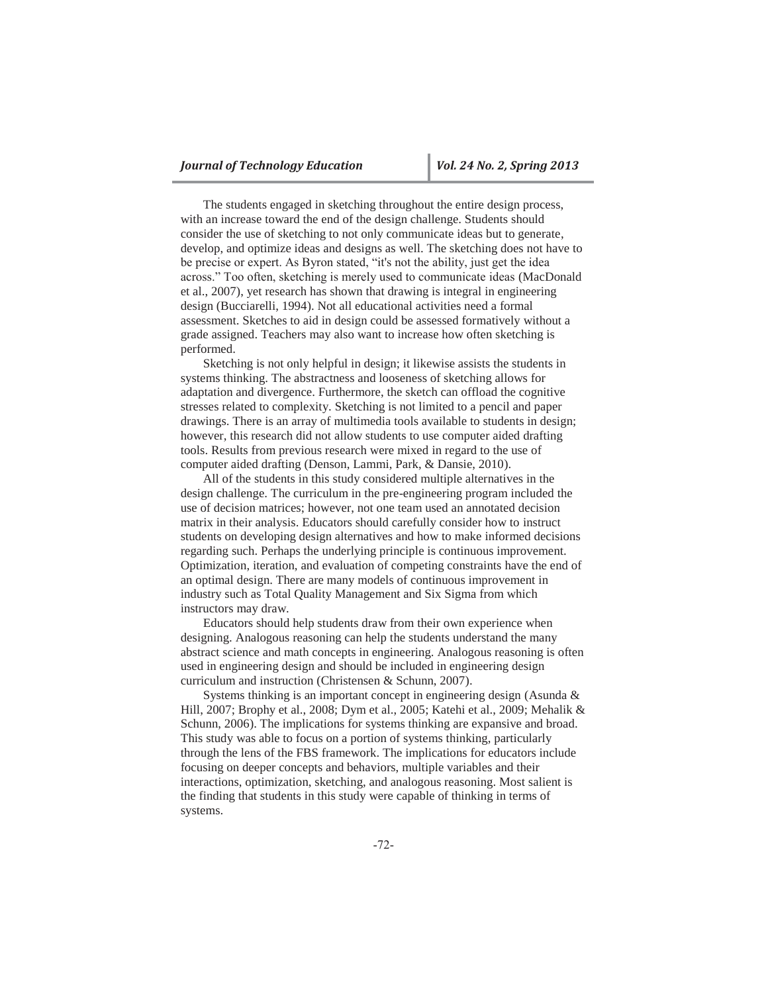The students engaged in sketching throughout the entire design process, with an increase toward the end of the design challenge. Students should consider the use of sketching to not only communicate ideas but to generate, develop, and optimize ideas and designs as well. The sketching does not have to be precise or expert. As Byron stated, "it's not the ability, just get the idea across." Too often, sketching is merely used to communicate ideas (MacDonald et al., 2007), yet research has shown that drawing is integral in engineering design (Bucciarelli, 1994). Not all educational activities need a formal assessment. Sketches to aid in design could be assessed formatively without a grade assigned. Teachers may also want to increase how often sketching is performed.

Sketching is not only helpful in design; it likewise assists the students in systems thinking. The abstractness and looseness of sketching allows for adaptation and divergence. Furthermore, the sketch can offload the cognitive stresses related to complexity. Sketching is not limited to a pencil and paper drawings. There is an array of multimedia tools available to students in design; however, this research did not allow students to use computer aided drafting tools. Results from previous research were mixed in regard to the use of computer aided drafting (Denson, Lammi, Park, & Dansie, 2010).

All of the students in this study considered multiple alternatives in the design challenge. The curriculum in the pre-engineering program included the use of decision matrices; however, not one team used an annotated decision matrix in their analysis. Educators should carefully consider how to instruct students on developing design alternatives and how to make informed decisions regarding such. Perhaps the underlying principle is continuous improvement. Optimization, iteration, and evaluation of competing constraints have the end of an optimal design. There are many models of continuous improvement in industry such as Total Quality Management and Six Sigma from which instructors may draw.

Educators should help students draw from their own experience when designing. Analogous reasoning can help the students understand the many abstract science and math concepts in engineering. Analogous reasoning is often used in engineering design and should be included in engineering design curriculum and instruction (Christensen & Schunn, 2007).

Systems thinking is an important concept in engineering design (Asunda & Hill, 2007; Brophy et al., 2008; Dym et al., 2005; Katehi et al., 2009; Mehalik & Schunn, 2006). The implications for systems thinking are expansive and broad. This study was able to focus on a portion of systems thinking, particularly through the lens of the FBS framework. The implications for educators include focusing on deeper concepts and behaviors, multiple variables and their interactions, optimization, sketching, and analogous reasoning. Most salient is the finding that students in this study were capable of thinking in terms of systems.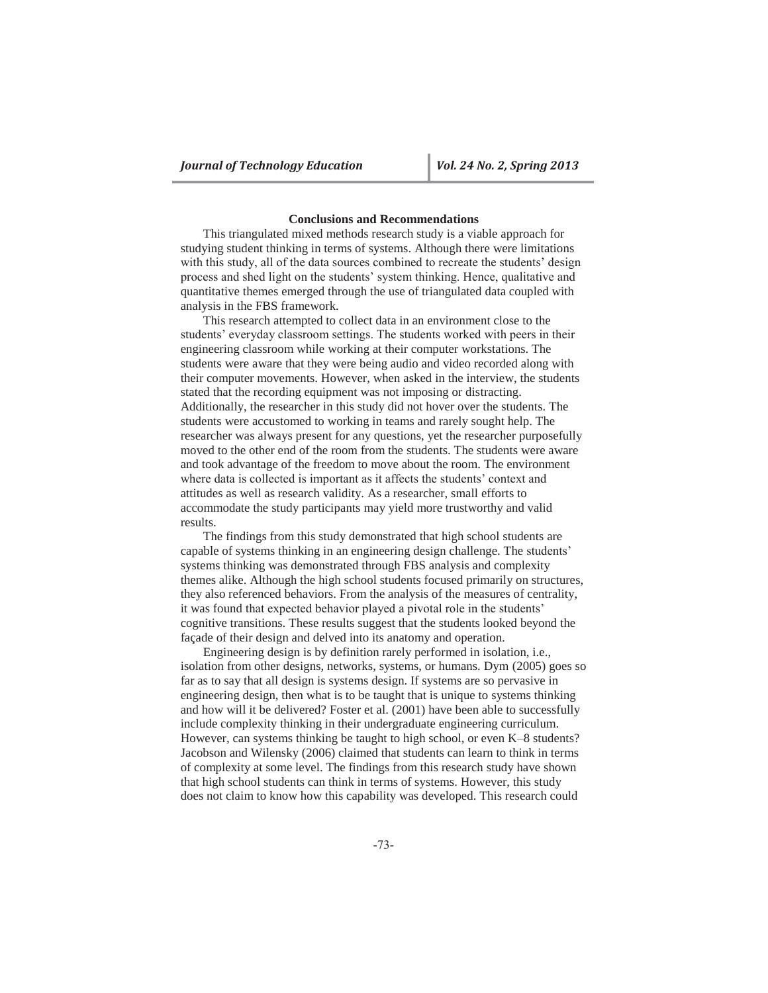## **Conclusions and Recommendations**

This triangulated mixed methods research study is a viable approach for studying student thinking in terms of systems. Although there were limitations with this study, all of the data sources combined to recreate the students' design process and shed light on the students' system thinking. Hence, qualitative and quantitative themes emerged through the use of triangulated data coupled with analysis in the FBS framework.

This research attempted to collect data in an environment close to the students' everyday classroom settings. The students worked with peers in their engineering classroom while working at their computer workstations. The students were aware that they were being audio and video recorded along with their computer movements. However, when asked in the interview, the students stated that the recording equipment was not imposing or distracting. Additionally, the researcher in this study did not hover over the students. The students were accustomed to working in teams and rarely sought help. The researcher was always present for any questions, yet the researcher purposefully moved to the other end of the room from the students. The students were aware and took advantage of the freedom to move about the room. The environment where data is collected is important as it affects the students' context and attitudes as well as research validity. As a researcher, small efforts to accommodate the study participants may yield more trustworthy and valid results.

The findings from this study demonstrated that high school students are capable of systems thinking in an engineering design challenge. The students' systems thinking was demonstrated through FBS analysis and complexity themes alike. Although the high school students focused primarily on structures, they also referenced behaviors. From the analysis of the measures of centrality, it was found that expected behavior played a pivotal role in the students' cognitive transitions. These results suggest that the students looked beyond the façade of their design and delved into its anatomy and operation.

Engineering design is by definition rarely performed in isolation, i.e., isolation from other designs, networks, systems, or humans. Dym (2005) goes so far as to say that all design is systems design. If systems are so pervasive in engineering design, then what is to be taught that is unique to systems thinking and how will it be delivered? Foster et al. (2001) have been able to successfully include complexity thinking in their undergraduate engineering curriculum. However, can systems thinking be taught to high school, or even K–8 students? Jacobson and Wilensky (2006) claimed that students can learn to think in terms of complexity at some level. The findings from this research study have shown that high school students can think in terms of systems. However, this study does not claim to know how this capability was developed. This research could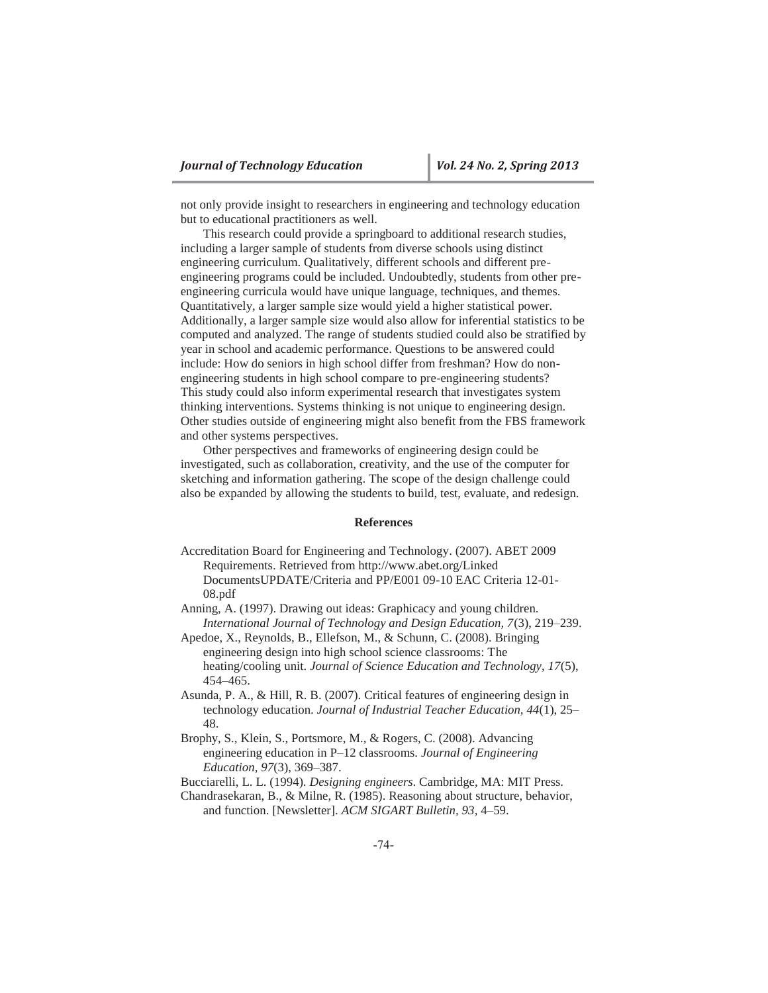not only provide insight to researchers in engineering and technology education but to educational practitioners as well.

This research could provide a springboard to additional research studies, including a larger sample of students from diverse schools using distinct engineering curriculum. Qualitatively, different schools and different preengineering programs could be included. Undoubtedly, students from other preengineering curricula would have unique language, techniques, and themes. Quantitatively, a larger sample size would yield a higher statistical power. Additionally, a larger sample size would also allow for inferential statistics to be computed and analyzed. The range of students studied could also be stratified by year in school and academic performance. Questions to be answered could include: How do seniors in high school differ from freshman? How do nonengineering students in high school compare to pre-engineering students? This study could also inform experimental research that investigates system thinking interventions. Systems thinking is not unique to engineering design. Other studies outside of engineering might also benefit from the FBS framework and other systems perspectives.

Other perspectives and frameworks of engineering design could be investigated, such as collaboration, creativity, and the use of the computer for sketching and information gathering. The scope of the design challenge could also be expanded by allowing the students to build, test, evaluate, and redesign.

### **References**

- Accreditation Board for Engineering and Technology. (2007). ABET 2009 Requirements. Retrieved from http://www.abet.org/Linked DocumentsUPDATE/Criteria and PP/E001 09-10 EAC Criteria 12-01- 08.pdf
- Anning, A. (1997). Drawing out ideas: Graphicacy and young children. *International Journal of Technology and Design Education, 7*(3), 219–239.
- Apedoe, X., Reynolds, B., Ellefson, M., & Schunn, C. (2008). Bringing engineering design into high school science classrooms: The heating/cooling unit. *Journal of Science Education and Technology, 17*(5), 454–465.
- Asunda, P. A., & Hill, R. B. (2007). Critical features of engineering design in technology education. *Journal of Industrial Teacher Education, 44*(1), 25– 48.
- Brophy, S., Klein, S., Portsmore, M., & Rogers, C. (2008). Advancing engineering education in P–12 classrooms. *Journal of Engineering Education, 97*(3), 369–387.

Bucciarelli, L. L. (1994). *Designing engineers*. Cambridge, MA: MIT Press.

Chandrasekaran, B., & Milne, R. (1985). Reasoning about structure, behavior, and function. [Newsletter]. *ACM SIGART Bulletin, 93*, 4–59.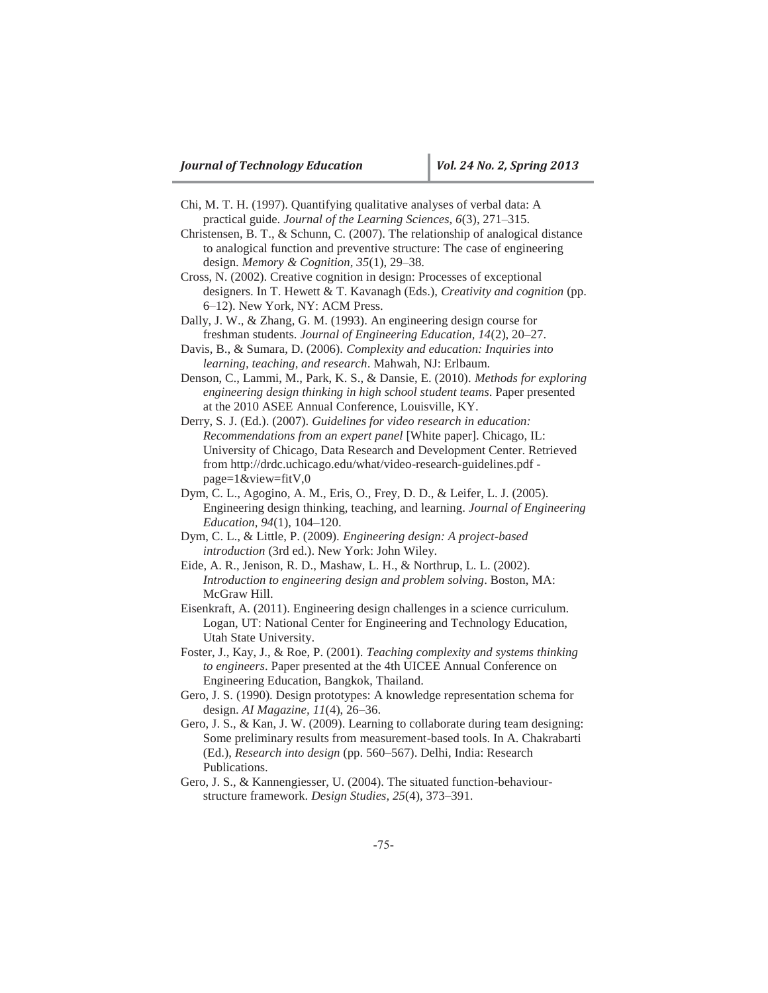- Chi, M. T. H. (1997). Quantifying qualitative analyses of verbal data: A practical guide. *Journal of the Learning Sciences, 6*(3), 271–315.
- Christensen, B. T., & Schunn, C. (2007). The relationship of analogical distance to analogical function and preventive structure: The case of engineering design. *Memory & Cognition, 35*(1), 29–38.
- Cross, N. (2002). Creative cognition in design: Processes of exceptional designers. In T. Hewett & T. Kavanagh (Eds.), *Creativity and cognition* (pp. 6–12). New York, NY: ACM Press.
- Dally, J. W., & Zhang, G. M. (1993). An engineering design course for freshman students. *Journal of Engineering Education, 14*(2), 20–27.
- Davis, B., & Sumara, D. (2006). *Complexity and education: Inquiries into learning, teaching, and research*. Mahwah, NJ: Erlbaum.
- Denson, C., Lammi, M., Park, K. S., & Dansie, E. (2010). *Methods for exploring engineering design thinking in high school student teams*. Paper presented at the 2010 ASEE Annual Conference, Louisville, KY.
- Derry, S. J. (Ed.). (2007). *Guidelines for video research in education: Recommendations from an expert panel* [White paper]. Chicago, IL: University of Chicago, Data Research and Development Center. Retrieved from http://drdc.uchicago.edu/what/video-research-guidelines.pdf page=1&view=fitV,0
- Dym, C. L., Agogino, A. M., Eris, O., Frey, D. D., & Leifer, L. J. (2005). Engineering design thinking, teaching, and learning. *Journal of Engineering Education, 94*(1), 104–120.
- Dym, C. L., & Little, P. (2009). *Engineering design: A project-based introduction* (3rd ed.). New York: John Wiley.
- Eide, A. R., Jenison, R. D., Mashaw, L. H., & Northrup, L. L. (2002). *Introduction to engineering design and problem solving*. Boston, MA: McGraw Hill.
- Eisenkraft, A. (2011). Engineering design challenges in a science curriculum. Logan, UT: National Center for Engineering and Technology Education, Utah State University.
- Foster, J., Kay, J., & Roe, P. (2001). *Teaching complexity and systems thinking to engineers*. Paper presented at the 4th UICEE Annual Conference on Engineering Education, Bangkok, Thailand.
- Gero, J. S. (1990). Design prototypes: A knowledge representation schema for design. *AI Magazine, 11*(4), 26–36.
- Gero, J. S., & Kan, J. W. (2009). Learning to collaborate during team designing: Some preliminary results from measurement-based tools. In A. Chakrabarti (Ed.), *Research into design* (pp. 560–567). Delhi, India: Research Publications.
- Gero, J. S., & Kannengiesser, U. (2004). The situated function-behaviourstructure framework. *Design Studies, 25*(4), 373–391.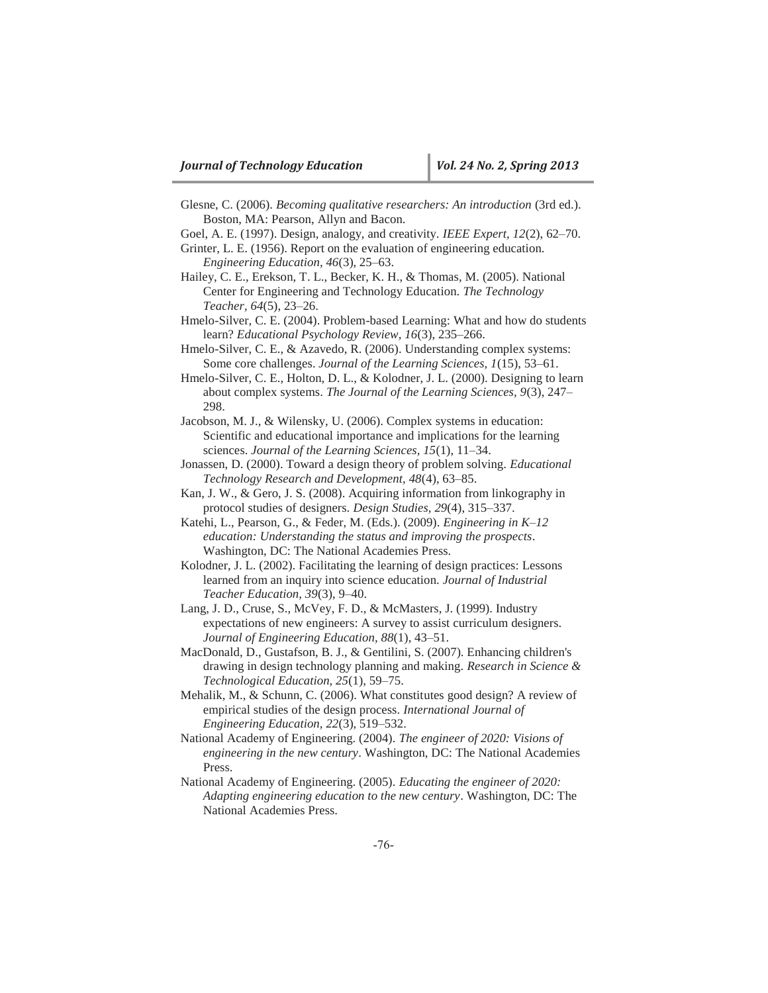- Glesne, C. (2006). *Becoming qualitative researchers: An introduction* (3rd ed.). Boston, MA: Pearson, Allyn and Bacon.
- Goel, A. E. (1997). Design, analogy, and creativity. *IEEE Expert, 12*(2), 62–70.
- Grinter, L. E. (1956). Report on the evaluation of engineering education. *Engineering Education, 46*(3), 25–63.
- Hailey, C. E., Erekson, T. L., Becker, K. H., & Thomas, M. (2005). National Center for Engineering and Technology Education. *The Technology Teacher, 64*(5), 23–26.
- Hmelo-Silver, C. E. (2004). Problem-based Learning: What and how do students learn? *Educational Psychology Review, 16*(3), 235–266.
- Hmelo-Silver, C. E., & Azavedo, R. (2006). Understanding complex systems: Some core challenges. *Journal of the Learning Sciences, 1*(15), 53–61.
- Hmelo-Silver, C. E., Holton, D. L., & Kolodner, J. L. (2000). Designing to learn about complex systems. *The Journal of the Learning Sciences, 9*(3), 247– 298.
- Jacobson, M. J., & Wilensky, U. (2006). Complex systems in education: Scientific and educational importance and implications for the learning sciences. *Journal of the Learning Sciences, 15*(1), 11–34.
- Jonassen, D. (2000). Toward a design theory of problem solving. *Educational Technology Research and Development, 48*(4), 63–85.
- Kan, J. W., & Gero, J. S. (2008). Acquiring information from linkography in protocol studies of designers. *Design Studies, 29*(4), 315–337.
- Katehi, L., Pearson, G., & Feder, M. (Eds.). (2009). *Engineering in K–12 education: Understanding the status and improving the prospects*. Washington, DC: The National Academies Press.
- Kolodner, J. L. (2002). Facilitating the learning of design practices: Lessons learned from an inquiry into science education. *Journal of Industrial Teacher Education, 39*(3), 9–40.
- Lang, J. D., Cruse, S., McVey, F. D., & McMasters, J. (1999). Industry expectations of new engineers: A survey to assist curriculum designers. *Journal of Engineering Education, 88*(1), 43–51.
- MacDonald, D., Gustafson, B. J., & Gentilini, S. (2007). Enhancing children's drawing in design technology planning and making. *Research in Science & Technological Education, 25*(1), 59–75.
- Mehalik, M., & Schunn, C. (2006). What constitutes good design? A review of empirical studies of the design process. *International Journal of Engineering Education, 22*(3), 519–532.
- National Academy of Engineering. (2004). *The engineer of 2020: Visions of engineering in the new century*. Washington, DC: The National Academies Press.
- National Academy of Engineering. (2005). *Educating the engineer of 2020: Adapting engineering education to the new century*. Washington, DC: The National Academies Press.